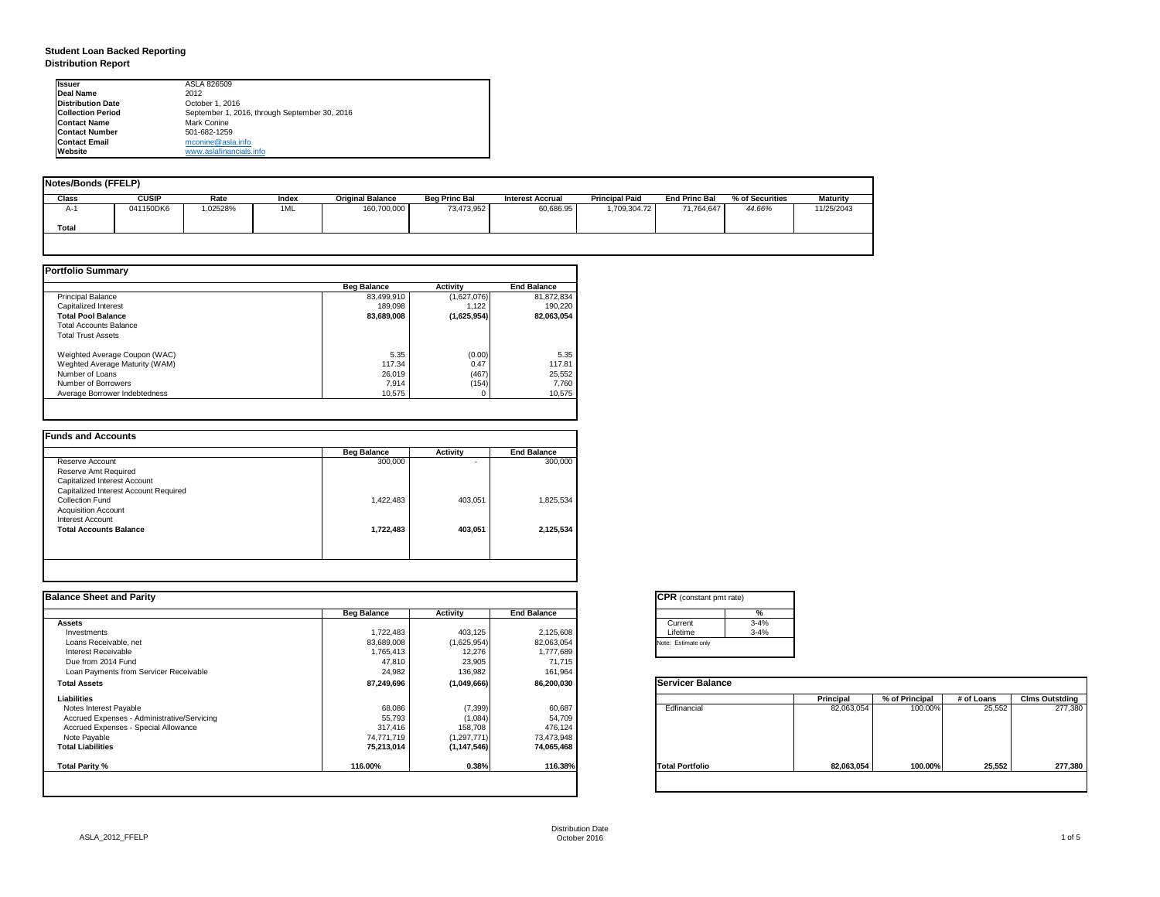| tant pmt rate) |          |
|----------------|----------|
|                | %        |
|                | $3 - 4%$ |
|                | $3 - 4%$ |
| only           |          |

|      | <b>Principal</b> | % of Principal | # of Loans | <b>Clms Outstding</b> |
|------|------------------|----------------|------------|-----------------------|
| al   | 82,063,054       | 100.00%        | 25,552     | 277,380               |
| olic | 82,063,054       | 100.00%        | 25,552     | 277,380               |

# **Student Loan Backed Reporting Distribution Report**

| <b>Notes/Bonds (FFELP)</b> |              |         |       |                         |                      |                         |                       |                      |                 |            |
|----------------------------|--------------|---------|-------|-------------------------|----------------------|-------------------------|-----------------------|----------------------|-----------------|------------|
| <b>Class</b>               | <b>CUSIP</b> | Rate    | Index | <b>Original Balance</b> | <b>Beg Princ Bal</b> | <b>Interest Accrual</b> | <b>Principal Paid</b> | <b>End Princ Bal</b> | % of Securities | Maturity   |
| A-1                        | 041150DK6    | .02528% | 1ML   | 160,700,000             | 73,473,952           | 60,686.95               | 1,709,304.72          | 71,764,647           | 44.66%          | 11/25/2043 |
| Total                      |              |         |       |                         |                      |                         |                       |                      |                 |            |
|                            |              |         |       |                         |                      |                         |                       |                      |                 |            |

|                                | <b>Beg Balance</b> | <b>Activity</b> | <b>End Balance</b> |
|--------------------------------|--------------------|-----------------|--------------------|
| <b>Principal Balance</b>       | 83,499,910         | (1,627,076)     | 81,872,834         |
| Capitalized Interest           | 189,098            | 1,122           | 190,220            |
| <b>Total Pool Balance</b>      | 83,689,008         | (1,625,954)     | 82,063,054         |
| <b>Total Accounts Balance</b>  |                    |                 |                    |
| <b>Total Trust Assets</b>      |                    |                 |                    |
| Weighted Average Coupon (WAC)  | 5.35               | (0.00)          | 5.35               |
| Weghted Average Maturity (WAM) | 117.34             | 0.47            | 117.81             |
| Number of Loans                | 26,019             | (467)           | 25,552             |
| Number of Borrowers            | 7,914              | (154)           | 7,760              |
| Average Borrower Indebtedness  | 10,575             |                 | 10,575             |

| <b>Beg Balance</b> | <b>Activity</b>          | <b>End Balance</b> |
|--------------------|--------------------------|--------------------|
| 300,000            | $\overline{\phantom{0}}$ | 300,000            |
|                    |                          |                    |
|                    |                          |                    |
|                    |                          |                    |
| 1,422,483          | 403,051                  | 1,825,534          |
|                    |                          |                    |
|                    |                          |                    |
| 1,722,483          | 403,051                  | 2,125,534          |
|                    |                          |                    |
|                    |                          |                    |

| <b>Ilssuer</b>           | ASLA 826509                                   |
|--------------------------|-----------------------------------------------|
| <b>IDeal Name</b>        | 2012                                          |
| <b>Distribution Date</b> | October 1, 2016                               |
| <b>Collection Period</b> | September 1, 2016, through September 30, 2016 |
| <b>Contact Name</b>      | Mark Conine                                   |
| <b>IContact Number</b>   | 501-682-1259                                  |
| <b>Contact Email</b>     | mconine@asla.info                             |
| <b>IWebsite</b>          | www.aslafinancials.info                       |

| <b>Activity</b><br>403,125<br>(1,625,954)<br>12,276 | <b>End Balance</b><br>2,125,608<br>82,063,054 | ℅<br>$3 - 4%$<br>Current<br>$3 - 4%$<br>Lifetime<br>Note: Estimate only |                  |                |            |                       |
|-----------------------------------------------------|-----------------------------------------------|-------------------------------------------------------------------------|------------------|----------------|------------|-----------------------|
|                                                     |                                               |                                                                         |                  |                |            |                       |
|                                                     |                                               |                                                                         |                  |                |            |                       |
|                                                     |                                               |                                                                         |                  |                |            |                       |
|                                                     |                                               |                                                                         |                  |                |            |                       |
|                                                     | 1,777,689                                     |                                                                         |                  |                |            |                       |
| 23,905                                              | 71,715                                        |                                                                         |                  |                |            |                       |
| 136,982                                             | 161,964                                       |                                                                         |                  |                |            |                       |
| (1,049,666)                                         | 86,200,030                                    | <b>Servicer Balance</b>                                                 |                  |                |            |                       |
|                                                     |                                               |                                                                         | <b>Principal</b> | % of Principal | # of Loans | <b>Clms Outstding</b> |
| (7, 399)                                            | 60,687                                        | Edfinancial                                                             | 82,063,054       | 100.00%        | 25,552     | 277,380               |
| (1,084)                                             | 54,709                                        |                                                                         |                  |                |            |                       |
| 158,708                                             | 476,124                                       |                                                                         |                  |                |            |                       |
| (1, 297, 771)                                       | 73,473,948                                    |                                                                         |                  |                |            |                       |
| (1, 147, 546)                                       | 74,065,468                                    |                                                                         |                  |                |            |                       |
| 0.38%                                               | 116.38%                                       | <b>Total Portfolio</b>                                                  | 82,063,054       | 100.00%        | 25,552     | 277,380               |
|                                                     |                                               |                                                                         |                  |                |            |                       |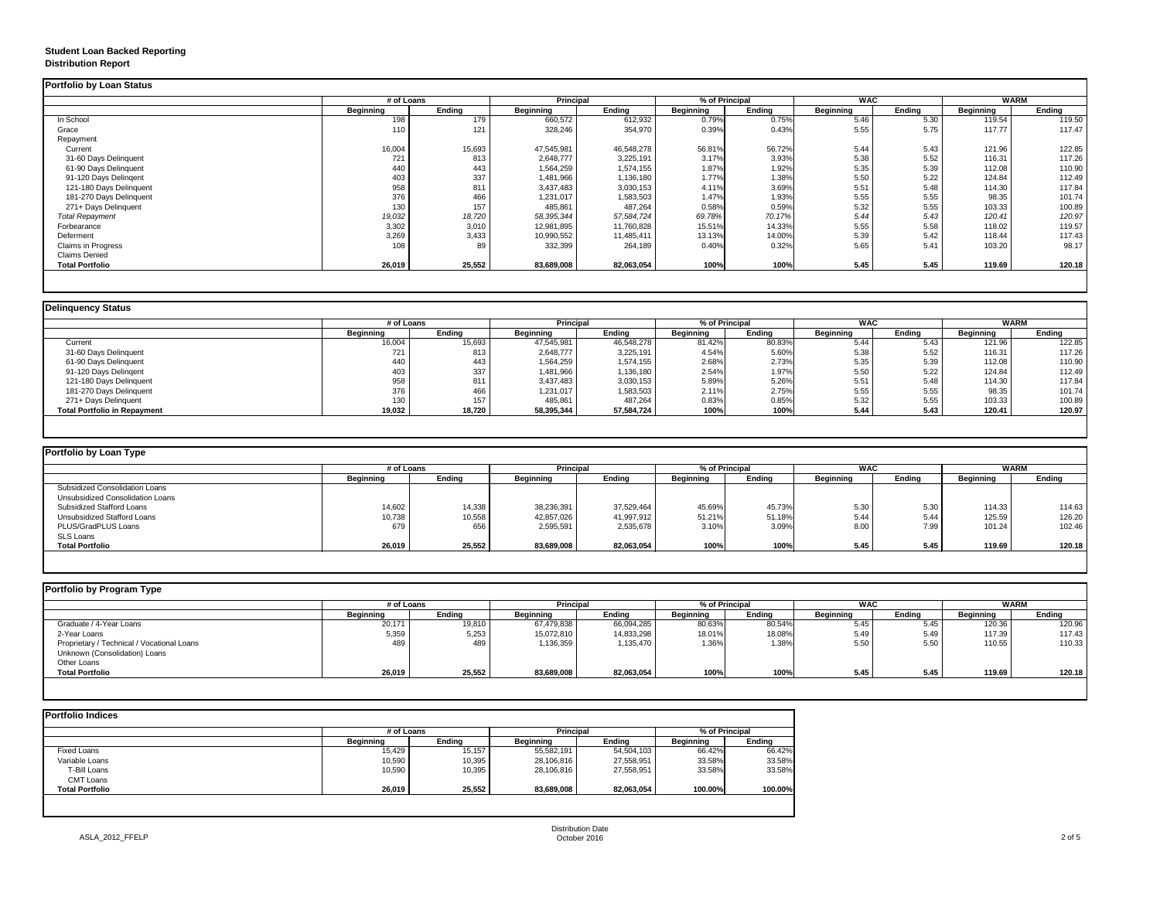# **Student Loan Backed Reporting Distribution Report**

### **Portfolio by Loan Type** Subsidized Consolidation Loans Unsubsidized Consolidation Loans Subsidized Stafford Loans 38,236,391 | 45.529,464 | 45.69%| 5.30 | 114.63 Unsubsidized Stafford Loans 10,738 10,558 42,857,026 41,997,912 51.21% 51.18% 5.44 5.44 125.59 126.20 PLUS/GradPLUS Loans 656 | 2,595,591 | 2,535,678 | 3.10%| 8.00 | 7.99 | 101.24 | 102.46 SLS Loans<br>Total Portfolio **Total Portfolio 26,019 25,552 83,689,008 82,063,054 100% 100% 5.45 5.45 119.69 120.18 # of Loans**<br> **Ending Trincipal Principal Principal Principal Principal Principal Principal Principal Principal Principal Principal Principal Principal Principal Principal Principal Principal Principal Principal Principal**

### **Delinquency Status**

|                           | # of Loans       |               |                  | <b>Principal</b> |                  | % of Principal |                  | <b>WAC</b>    | <b>WARM</b>      |               |
|---------------------------|------------------|---------------|------------------|------------------|------------------|----------------|------------------|---------------|------------------|---------------|
|                           | <b>Beginning</b> | <b>Ending</b> | <b>Beginning</b> | <b>Ending</b>    | <b>Beginning</b> | <b>Ending</b>  | <b>Beginning</b> | <b>Ending</b> | <b>Beginning</b> | <b>Ending</b> |
| In School                 | 198              | 179           | 660,572          | 612,932          | 0.79%            | 0.75%          | 5.46             | 5.30          | 119.54           | 119.50        |
| Grace                     | 110              | 121           | 328,246          | 354,970          | 0.39%            | 0.43%          | 5.55             | 5.75          | 117.77           | 117.47        |
| Repayment                 |                  |               |                  |                  |                  |                |                  |               |                  |               |
| Current                   | 16,004           | 15,693        | 47,545,981       | 46,548,278       | 56.81%           | 56.72%         | 5.44             | 5.43          | 121.96           | 122.85        |
| 31-60 Days Delinquent     | 721              | 813           | 2,648,777        | 3,225,191        | 3.17%            | 3.93%          | 5.38             | 5.52          | 116.31           | 117.26        |
| 61-90 Days Delinquent     | 440              | 443           | 1,564,259        | 1,574,155        | 1.87%            | 1.92%          | 5.35             | 5.39          | 112.08           | 110.90        |
| 91-120 Days Delingent     | 403              | 337           | 1,481,966        | 1,136,180        | 1.77%            | 1.38%          | 5.50             | 5.22          | 124.84           | 112.49        |
| 121-180 Days Delinquent   | 958              | 811           | 3,437,483        | 3,030,153        | 4.11%            | 3.69%          | 5.51             | 5.48          | 114.30           | 117.84        |
| 181-270 Days Delinquent   | 376              | 466           | 1,231,017        | 1,583,503        | 1.47%            | 1.93%          | 5.55             | 5.55          | 98.35            | 101.74        |
| 271+ Days Delinquent      | 130              | 157           | 485,861          | 487,264          | 0.58%            | 0.59%          | 5.32             | 5.55          | 103.33           | 100.89        |
| <b>Total Repayment</b>    | 19,032           | 18,720        | 58,395,344       | 57,584,724       | 69.78%           | 70.17%         | 5.44             | 5.43          | 120.41           | 120.97        |
| Forbearance               | 3,302            | 3,010         | 12,981,895       | 11,760,828       | 15.51%           | 14.33%         | 5.55             | 5.58          | 118.02           | 119.57        |
| Deferment                 | 3,269            | 3,433         | 10,990,552       | 11,485,411       | 13.13%           | 14.00%         | 5.39             | 5.42          | 118.44           | 117.43        |
| <b>Claims in Progress</b> | 108              | 89            | 332,399          | 264,189          | 0.40%            | 0.32%          | 5.65             | 5.41          | 103.20           | 98.17         |
| <b>Claims Denied</b>      |                  |               |                  |                  |                  |                |                  |               |                  |               |
| <b>Total Portfolio</b>    | 26,019           | 25,552        | 83,689,008       | 82,063,054       | 100%             | 100%           | 5.45             | 5.45          | 119.69           | 120.18        |

|                                     | # of Loans       |               | <b>Principal</b> |               | % of Principal   |               | <b>WAC</b>       |               | <b>WARM</b>      |               |
|-------------------------------------|------------------|---------------|------------------|---------------|------------------|---------------|------------------|---------------|------------------|---------------|
|                                     | <b>Beginning</b> | <b>Ending</b> | <b>Beginning</b> | <b>Ending</b> | <b>Beginning</b> | <b>Ending</b> | <b>Beginning</b> | <b>Ending</b> | <b>Beginning</b> | <b>Ending</b> |
| Current                             | 16,004           | 15,693        | 47,545,981       | 46,548,278    | 81.42%           | 80.83%        | 5.44             | 5.43          | 121.96           | 122.85        |
| 31-60 Days Delinquent               | 721              | 813           | 2,648,777        | 3,225,191     | 4.54%            | 5.60%         | 5.38             | 5.52          | 116.31           | 117.26        |
| 61-90 Days Delinquent               | 440              | 443           | 1,564,259        | 1,574,155     | 2.68%            | 2.73%         | 5.35             | 5.39          | 112.08           | 110.90        |
| 91-120 Days Delingent               | 403              | 337           | 1,481,966        | 1,136,180     | 2.54%            | 1.97%         | 5.50             | 5.22          | 124.84           | 112.49        |
| 121-180 Days Delinquent             | 958              | 811           | 3,437,483        | 3,030,153     | 5.89%            | 5.26%         | 5.51             | 5.48          | 114.30           | 117.84        |
| 181-270 Days Delinquent             | 376              | 466           | 1,231,017        | 1,583,503     | 2.11%            | 2.75%         | 5.55             | 5.55          | 98.35            | 101.74        |
| 271+ Days Delinquent                | 130              | 157           | 485,861          | 487,264       | 0.83%            | 0.85%         | 5.32             | 5.55          | 103.33           | 100.89        |
| <b>Total Portfolio in Repayment</b> | 19,032           | 18,720        | 58,395,344       | 57,584,724    | 100%             | 100%          | 5.44             | 5.43          | 120.41           | 120.97        |

| # of Loans       |               | <b>Principal</b> |               | % of Principal   |               | <b>WAC</b>       |               | <b>WARM</b>      |               |  |
|------------------|---------------|------------------|---------------|------------------|---------------|------------------|---------------|------------------|---------------|--|
| <b>Beginning</b> | <b>Ending</b> | <b>Beginning</b> | <b>Ending</b> | <b>Beginning</b> | <b>Ending</b> | <b>Beginning</b> | <b>Ending</b> | <b>Beginning</b> | <b>Ending</b> |  |
|                  |               |                  |               |                  |               |                  |               |                  |               |  |
|                  |               |                  |               |                  |               |                  |               |                  |               |  |
| 14,602           | 14,338        | 38,236,391       | 37,529,464    | 45.69%           | 45.73%        | 5.30             | 5.30          | 114.33           | 114.63        |  |
| 10,738           | 10,558        | 42,857,026       | 41,997,912    | 51.21%           | 51.18%        | 5.44             | 5.44          | 125.59           | 126.20        |  |
| 679              | 656           | 2,595,591        | 2,535,678     | 3.10%            | 3.09%         | 8.00             | 7.99          | 101.24           | 102.46        |  |
|                  |               |                  |               |                  |               |                  |               |                  |               |  |
| 26,019           | 25,552        | 83,689,008       | 82,063,054    | 100%             | 100%          | 5.45             | 5.45          | 119.69           | 120.18        |  |

|                                            |                  | # of Loans    |                  | <b>Principal</b> |                  | % of Principal |                  | <b>WAC</b>    |                  | <b>WARM</b>   |  |
|--------------------------------------------|------------------|---------------|------------------|------------------|------------------|----------------|------------------|---------------|------------------|---------------|--|
|                                            | <b>Beginning</b> | <b>Ending</b> | <b>Beginning</b> | <b>Ending</b>    | <b>Beginning</b> | <b>Ending</b>  | <b>Beginning</b> | <b>Ending</b> | <b>Beginning</b> | <b>Ending</b> |  |
| Graduate / 4-Year Loans                    | 20,171           | 19,810        | 67,479,838       | 66,094,285       | 80.63%           | 80.54%         | 5.45             | 5.45          | 120.36           | 120.96        |  |
| 2-Year Loans                               | 5,359            | 5,253         | 15,072,810       | 14,833,298       | 18.01%           | 18.08%         | 5.49             | 5.49          | 117.39           | 117.43        |  |
| Proprietary / Technical / Vocational Loans | 489              | 489           | 1,136,359        | 1,135,470        | 1.36%            | 1.38%          | 5.5C             | 5.50          | 110.55           | 110.33        |  |
| Unknown (Consolidation) Loans              |                  |               |                  |                  |                  |                |                  |               |                  |               |  |
| Other Loans                                |                  |               |                  |                  |                  |                |                  |               |                  |               |  |
| <b>Total Portfolio</b>                     | 26,019           | 25,552        | 83,689,008       | 82,063,054       | 100%             | 100%           | 5.45             | 5.45          | 119.69           | 120.18        |  |

|                        | # of Loans       | <b>Principal</b> |                  | % of Principal |                  |               |
|------------------------|------------------|------------------|------------------|----------------|------------------|---------------|
|                        | <b>Beginning</b> | <b>Ending</b>    | <b>Beginning</b> | <b>Ending</b>  | <b>Beginning</b> | <b>Ending</b> |
| <b>Fixed Loans</b>     | 15,429           | 15,157           | 55,582,191       | 54,504,103     | 66.42%           | 66.42%        |
| Variable Loans         | 10,590           | 10,395           | 28,106,816       | 27,558,951     | 33.58%           | 33.58%        |
| T-Bill Loans           | 10,590           | 10,395           | 28,106,816       | 27,558,951     | 33.58%           | 33.58%        |
| <b>CMT Loans</b>       |                  |                  |                  |                |                  |               |
| <b>Total Portfolio</b> | 26,019           | 25,552           | 83,689,008       | 82,063,054     | 100.00%          | 100.00%       |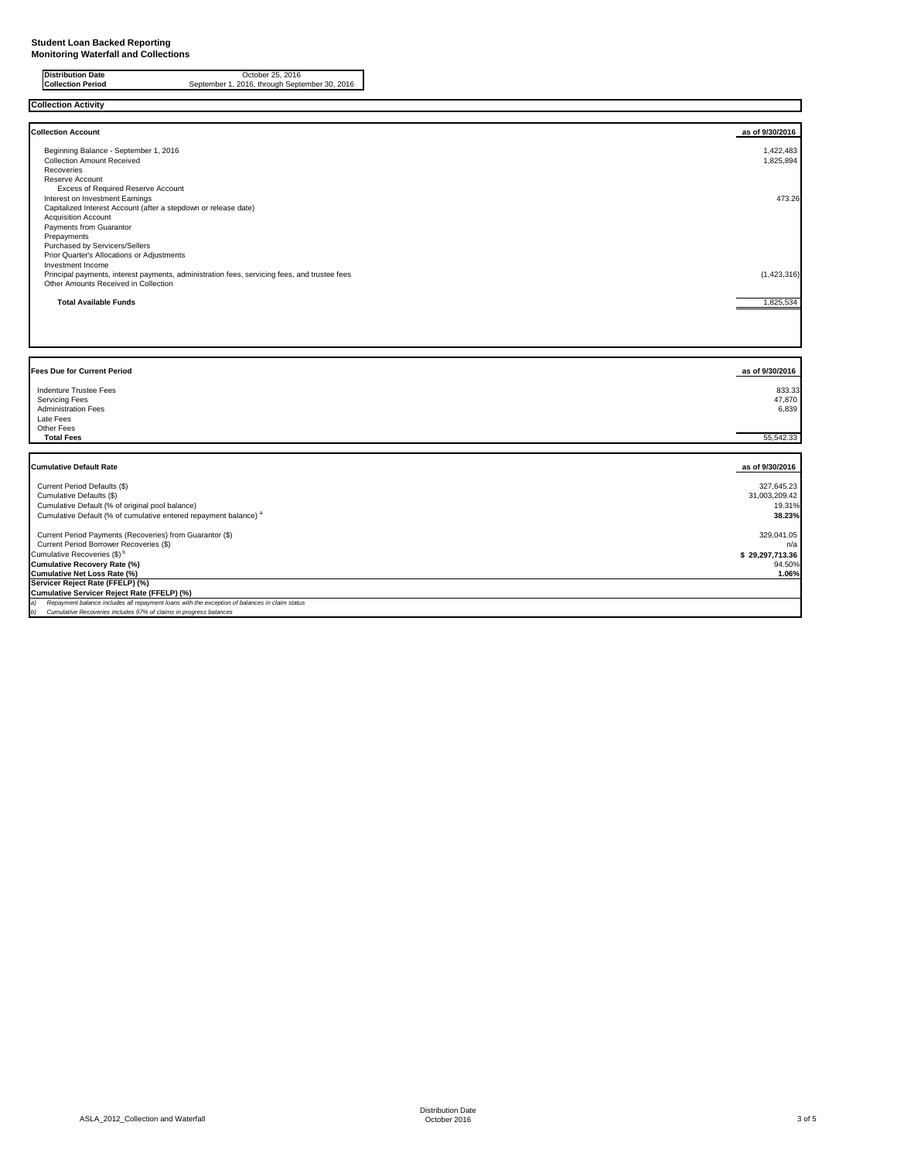**Distribution Date** October 25, 2016<br> **Collection Period** September 1, 2016, through Septe September 1, 2016, through September 30, 2016

**Collection Activity**

| <b>Collection Account</b>                                                                           | as of 9/30/2016 |
|-----------------------------------------------------------------------------------------------------|-----------------|
| Beginning Balance - September 1, 2016                                                               | 1,422,483       |
| <b>Collection Amount Received</b>                                                                   | 1,825,894       |
| Recoveries                                                                                          |                 |
| Reserve Account                                                                                     |                 |
| <b>Excess of Required Reserve Account</b>                                                           |                 |
| Interest on Investment Earnings                                                                     | 473.26          |
| Capitalized Interest Account (after a stepdown or release date)                                     |                 |
| <b>Acquisition Account</b>                                                                          |                 |
| Payments from Guarantor                                                                             |                 |
| Prepayments                                                                                         |                 |
| <b>Purchased by Servicers/Sellers</b>                                                               |                 |
| Prior Quarter's Allocations or Adjustments                                                          |                 |
| Investment Income                                                                                   |                 |
| Principal payments, interest payments, administration fees, servicing fees, and trustee fees        | (1,423,316)     |
| Other Amounts Received in Collection                                                                |                 |
|                                                                                                     |                 |
| <b>Total Available Funds</b>                                                                        | 1,825,534       |
|                                                                                                     |                 |
|                                                                                                     |                 |
|                                                                                                     |                 |
|                                                                                                     |                 |
|                                                                                                     |                 |
|                                                                                                     |                 |
| <b>Fees Due for Current Period</b>                                                                  | as of 9/30/2016 |
|                                                                                                     |                 |
| <b>Indenture Trustee Fees</b>                                                                       | 833.33          |
| <b>Servicing Fees</b>                                                                               | 47,870          |
| <b>Administration Fees</b>                                                                          | 6,839           |
| Late Fees                                                                                           |                 |
| Other Fees                                                                                          |                 |
| <b>Total Fees</b>                                                                                   | 55,542.33       |
|                                                                                                     |                 |
| <b>Cumulative Default Rate</b>                                                                      | as of 9/30/2016 |
|                                                                                                     |                 |
| Current Period Defaults (\$)                                                                        | 327,645.23      |
| Cumulative Defaults (\$)                                                                            | 31,003,209.42   |
| Cumulative Default (% of original pool balance)                                                     | 19.31%          |
| Cumulative Default (% of cumulative entered repayment balance) <sup>a</sup>                         | 38.23%          |
|                                                                                                     |                 |
| Current Period Payments (Recoveries) from Guarantor (\$)                                            | 329,041.05      |
| Current Period Borrower Recoveries (\$)                                                             | n/a             |
| Cumulative Recoveries (\$) <sup>b</sup>                                                             | \$29,297,713.36 |
| <b>Cumulative Recovery Rate (%)</b>                                                                 | 94.50%          |
| <b>Cumulative Net Loss Rate (%)</b>                                                                 | 1.06%           |
| Servicer Reject Rate (FFELP) (%)                                                                    |                 |
| Cumulative Servicer Reject Rate (FFELP) (%)                                                         |                 |
| Repayment balance includes all repayment loans with the exception of balances in claim status<br>a) |                 |
| Cumulative Recoveries includes 97% of claims in progress balances<br>b)                             |                 |
|                                                                                                     |                 |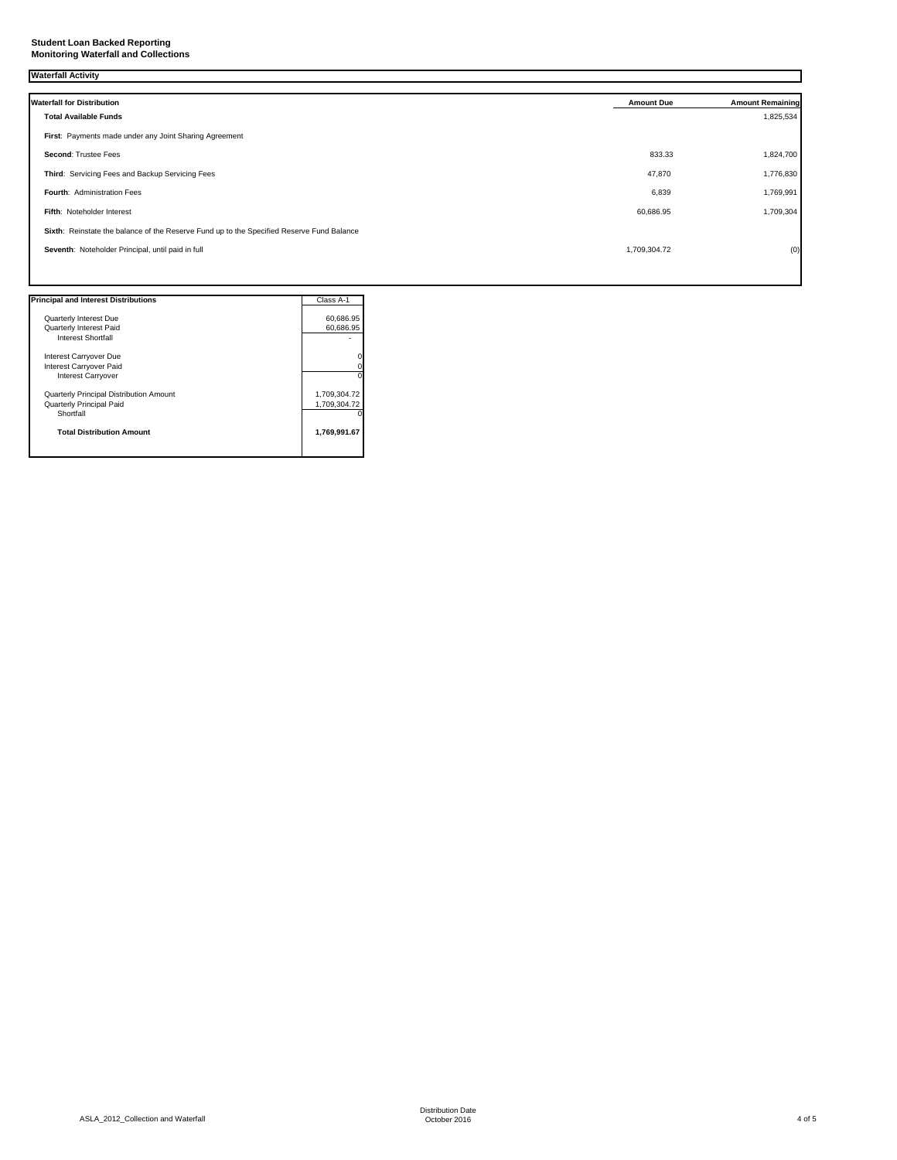## **Student Loan Backed Reporting Monitoring Waterfall and Collections**

# **Waterfall Activity**

| <b>Waterfall for Distribution</b>                                                         | <b>Amount Due</b> | <b>Amount Remaining</b> |
|-------------------------------------------------------------------------------------------|-------------------|-------------------------|
| <b>Total Available Funds</b>                                                              |                   | 1,825,534               |
| First: Payments made under any Joint Sharing Agreement                                    |                   |                         |
| <b>Second: Trustee Fees</b>                                                               | 833.33            | 1,824,700               |
| Third: Servicing Fees and Backup Servicing Fees                                           | 47,870            | 1,776,830               |
| Fourth: Administration Fees                                                               | 6,839             | 1,769,991               |
| Fifth: Noteholder Interest                                                                | 60,686.95         | 1,709,304               |
| Sixth: Reinstate the balance of the Reserve Fund up to the Specified Reserve Fund Balance |                   |                         |
| Seventh: Noteholder Principal, until paid in full                                         | 1,709,304.72      | (0)                     |
|                                                                                           |                   |                         |

| <b>Principal and Interest Distributions</b> | Class A-1    |
|---------------------------------------------|--------------|
|                                             |              |
| <b>Quarterly Interest Due</b>               | 60,686.95    |
| <b>Quarterly Interest Paid</b>              | 60,686.95    |
| Interest Shortfall                          |              |
| Interest Carryover Due                      |              |
| Interest Carryover Paid                     |              |
| <b>Interest Carryover</b>                   |              |
| Quarterly Principal Distribution Amount     | 1,709,304.72 |
| <b>Quarterly Principal Paid</b>             | 1,709,304.72 |
| Shortfall                                   |              |
| <b>Total Distribution Amount</b>            | 1,769,991.67 |
|                                             |              |